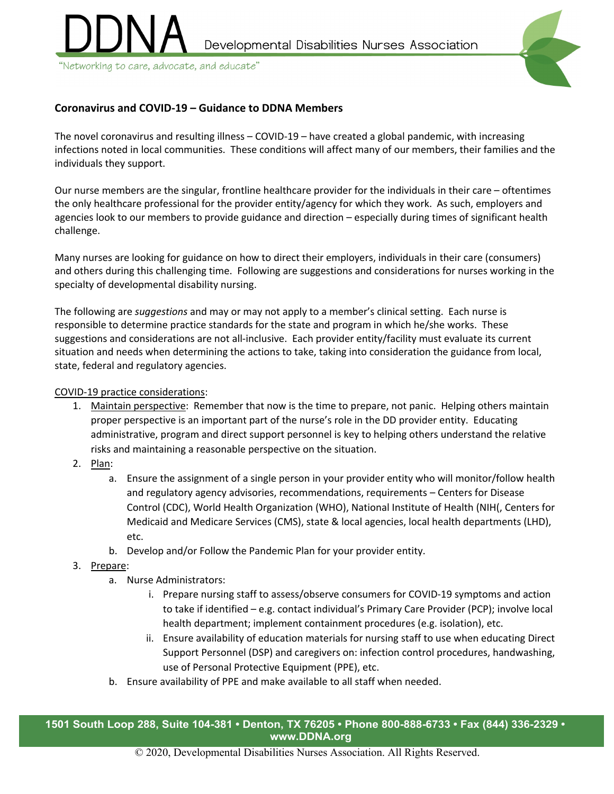



"Networking to care, advocate, and educate"

## **Coronavirus and COVID-19 – Guidance to DDNA Members**

The novel coronavirus and resulting illness – COVID-19 – have created a global pandemic, with increasing infections noted in local communities. These conditions will affect many of our members, their families and the individuals they support.

Our nurse members are the singular, frontline healthcare provider for the individuals in their care – oftentimes the only healthcare professional for the provider entity/agency for which they work. As such, employers and agencies look to our members to provide guidance and direction – especially during times of significant health challenge.

Many nurses are looking for guidance on how to direct their employers, individuals in their care (consumers) and others during this challenging time. Following are suggestions and considerations for nurses working in the specialty of developmental disability nursing.

The following are *suggestions* and may or may not apply to a member's clinical setting. Each nurse is responsible to determine practice standards for the state and program in which he/she works. These suggestions and considerations are not all-inclusive. Each provider entity/facility must evaluate its current situation and needs when determining the actions to take, taking into consideration the guidance from local, state, federal and regulatory agencies.

## COVID-19 practice considerations:

- 1. Maintain perspective: Remember that now is the time to prepare, not panic. Helping others maintain proper perspective is an important part of the nurse's role in the DD provider entity. Educating administrative, program and direct support personnel is key to helping others understand the relative risks and maintaining a reasonable perspective on the situation.
- 2. Plan:
	- a. Ensure the assignment of a single person in your provider entity who will monitor/follow health and regulatory agency advisories, recommendations, requirements – Centers for Disease Control (CDC), World Health Organization (WHO), National Institute of Health (NIH(, Centers for Medicaid and Medicare Services (CMS), state & local agencies, local health departments (LHD), etc.
	- b. Develop and/or Follow the Pandemic Plan for your provider entity.
- 3. Prepare:
	- a. Nurse Administrators:
		- i. Prepare nursing staff to assess/observe consumers for COVID-19 symptoms and action to take if identified – e.g. contact individual's Primary Care Provider (PCP); involve local health department; implement containment procedures (e.g. isolation), etc.
		- ii. Ensure availability of education materials for nursing staff to use when educating Direct Support Personnel (DSP) and caregivers on: infection control procedures, handwashing, use of Personal Protective Equipment (PPE), etc.
	- b. Ensure availability of PPE and make available to all staff when needed.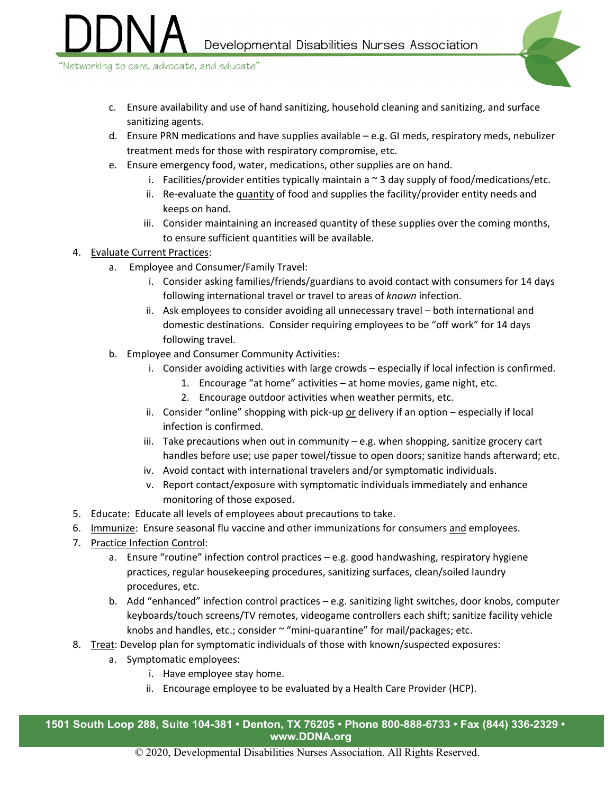"Networking to care, advocate, and educate"

- c. Ensure availability and use of hand sanitizing, household cleaning and sanitizing, and surface sanitizing agents.
- d. Ensure PRN medications and have supplies available e.g. GI meds, respiratory meds, nebulizer treatment meds for those with respiratory compromise, etc.
- e. Ensure emergency food, water, medications, other supplies are on hand.
	- i. Facilities/provider entities typically maintain a  $\sim$  3 day supply of food/medications/etc.
	- ii. Re-evaluate the quantity of food and supplies the facility/provider entity needs and keeps on hand.
	- iii. Consider maintaining an increased quantity of these supplies over the coming months, to ensure sufficient quantities will be available.
- 4. Evaluate Current Practices:
	- a. Employee and Consumer/Family Travel:
		- i. Consider asking families/friends/guardians to avoid contact with consumers for 14 days following international travel or travel to areas of *known* infection.
		- ii. Ask employees to consider avoiding all unnecessary travel both international and domestic destinations. Consider requiring employees to be "off work" for 14 days following travel.
	- b. Employee and Consumer Community Activities:
		- i. Consider avoiding activities with large crowds especially if local infection is confirmed.
			- 1. Encourage "at home" activities at home movies, game night, etc.
			- 2. Encourage outdoor activities when weather permits, etc.
		- ii. Consider "online" shopping with pick-up or delivery if an option  $-$  especially if local infection is confirmed.
		- iii. Take precautions when out in community  $-e.g.$  when shopping, sanitize grocery cart handles before use; use paper towel/tissue to open doors; sanitize hands afterward; etc.
		- iv. Avoid contact with international travelers and/or symptomatic individuals.
		- v. Report contact/exposure with symptomatic individuals immediately and enhance monitoring of those exposed.
- 5. Educate: Educate all levels of employees about precautions to take.
- 6. Immunize: Ensure seasonal flu vaccine and other immunizations for consumers and employees.
- 7. Practice Infection Control:
	- a. Ensure "routine" infection control practices e.g. good handwashing, respiratory hygiene practices, regular housekeeping procedures, sanitizing surfaces, clean/soiled laundry procedures, etc.
	- b. Add "enhanced" infection control practices e.g. sanitizing light switches, door knobs, computer keyboards/touch screens/TV remotes, videogame controllers each shift; sanitize facility vehicle knobs and handles, etc.; consider  $\sim$  "mini-quarantine" for mail/packages; etc.
- 8. Treat: Develop plan for symptomatic individuals of those with known/suspected exposures:
	- a. Symptomatic employees:
		- i. Have employee stay home.
		- ii. Encourage employee to be evaluated by a Health Care Provider (HCP).

**1501 South Loop 288, Suite 104-381 • Denton, TX 76205 • Phone 800-888-6733 • Fax (844) 336-2329 • www.DDNA.org**